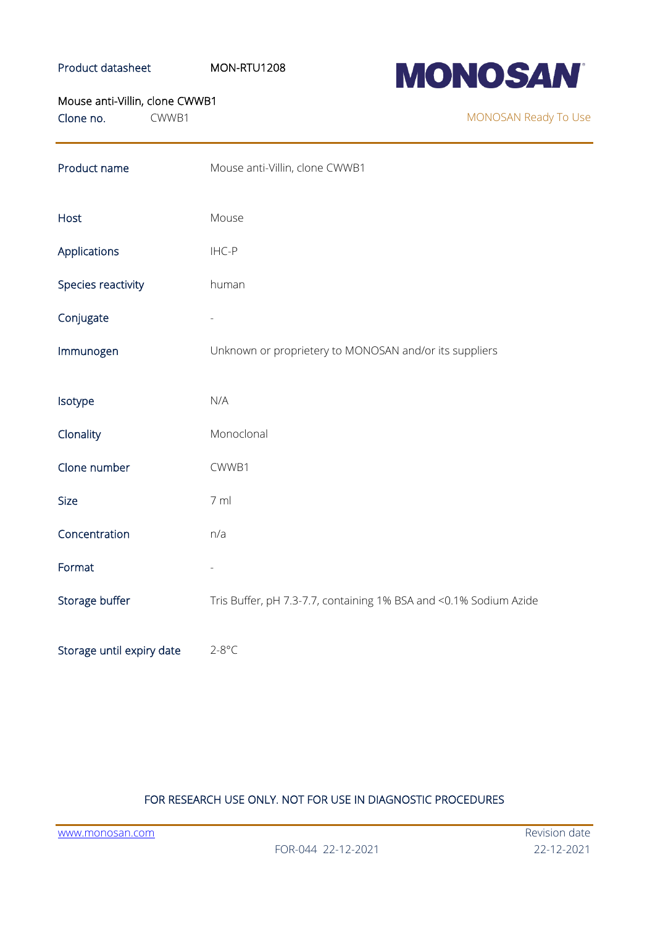## Product datasheet MON-RTU1208



### Mouse anti-Villin, clone CWWB1

Clone no. CWWB1

MONOSAN Ready To Use

| Product name              | Mouse anti-Villin, clone CWWB1                                    |
|---------------------------|-------------------------------------------------------------------|
| Host                      | Mouse                                                             |
| Applications              | IHC-P                                                             |
| Species reactivity        | human                                                             |
| Conjugate                 |                                                                   |
| Immunogen                 | Unknown or proprietery to MONOSAN and/or its suppliers            |
| Isotype                   | N/A                                                               |
| Clonality                 | Monoclonal                                                        |
| Clone number              | CWWB1                                                             |
| <b>Size</b>               | 7 ml                                                              |
| Concentration             | n/a                                                               |
| Format                    |                                                                   |
| Storage buffer            | Tris Buffer, pH 7.3-7.7, containing 1% BSA and <0.1% Sodium Azide |
| Storage until expiry date | $2-8$ °C                                                          |

# FOR RESEARCH USE ONLY. NOT FOR USE IN DIAGNOSTIC PROCEDURES

[www.monosan.com](http://www.monosan.com/) Revision date